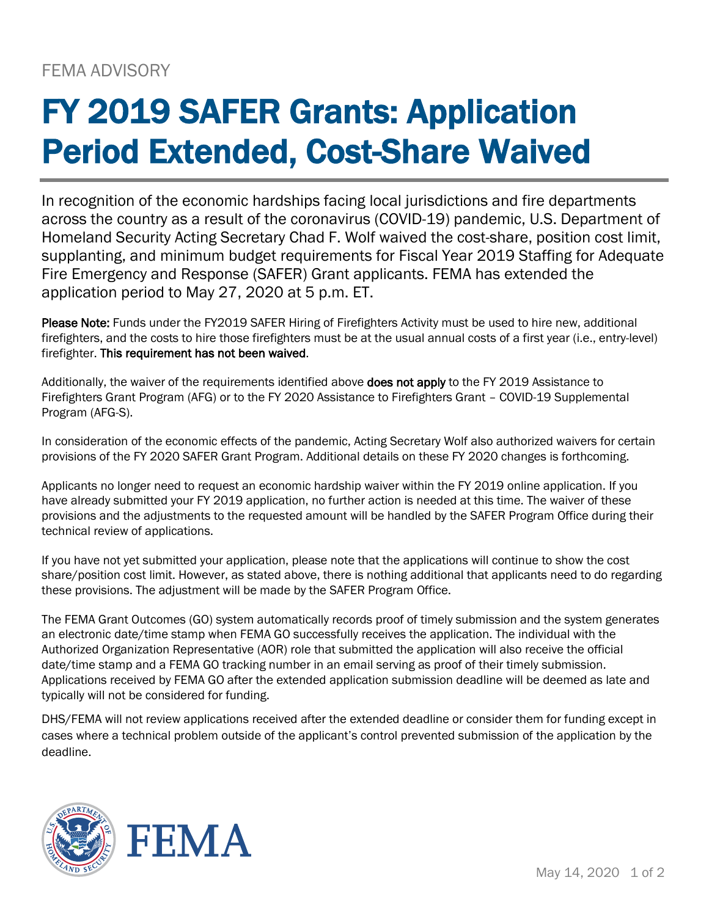## FY 2019 SAFER Grants: Application Period Extended, Cost-Share Waived

In recognition of the economic hardships facing local jurisdictions and fire departments across the country as a result of the coronavirus (COVID-19) pandemic, U.S. Department of Homeland Security Acting Secretary Chad F. Wolf waived the cost-share, position cost limit, supplanting, and minimum budget requirements for Fiscal Year 2019 Staffing for Adequate Fire Emergency and Response (SAFER) Grant applicants. FEMA has extended the application period to May 27, 2020 at 5 p.m. ET.

Please Note: Funds under the FY2019 SAFER Hiring of Firefighters Activity must be used to hire new, additional firefighters, and the costs to hire those firefighters must be at the usual annual costs of a first year (i.e., entry-level) firefighter. This requirement has not been waived.

Additionally, the waiver of the requirements identified above does not apply to the FY 2019 Assistance to Firefighters Grant Program (AFG) or to the FY 2020 Assistance to Firefighters Grant – COVID-19 Supplemental Program (AFG-S).

In consideration of the economic effects of the pandemic, Acting Secretary Wolf also authorized waivers for certain provisions of the FY 2020 SAFER Grant Program. Additional details on these FY 2020 changes is forthcoming.

Applicants no longer need to request an economic hardship waiver within the FY 2019 online application. If you have already submitted your FY 2019 application, no further action is needed at this time. The waiver of these provisions and the adjustments to the requested amount will be handled by the SAFER Program Office during their technical review of applications.

If you have not yet submitted your application, please note that the applications will continue to show the cost share/position cost limit. However, as stated above, there is nothing additional that applicants need to do regarding these provisions. The adjustment will be made by the SAFER Program Office.

The FEMA Grant Outcomes (GO) system automatically records proof of timely submission and the system generates an electronic date/time stamp when FEMA GO successfully receives the application. The individual with the Authorized Organization Representative (AOR) role that submitted the application will also receive the official date/time stamp and a FEMA GO tracking number in an email serving as proof of their timely submission. Applications received by FEMA GO after the extended application submission deadline will be deemed as late and typically will not be considered for funding.

DHS/FEMA will not review applications received after the extended deadline or consider them for funding except in cases where a technical problem outside of the applicant's control prevented submission of the application by the deadline.